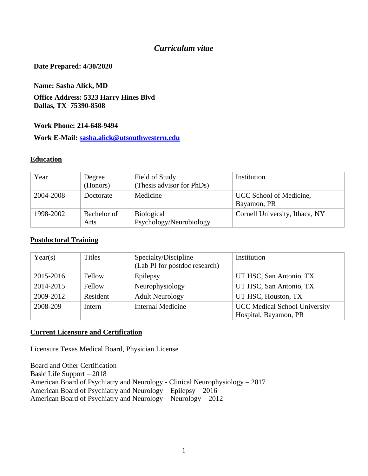#### *Curriculum vitae*

#### **Date Prepared: 4/30/2020**

**Name: Sasha Alick, MD**

#### **Office Address: 5323 Harry Hines Blvd Dallas, TX 75390-8508**

#### **Work Phone: 214-648-9494**

**Work E-Mail: [sasha.alick@utsouthwestern.edu](mailto:sasha.alick@utsouthwestern.edu)**

#### **Education**

| Year      | Degree<br>(Honors)  | Field of Study<br>(Thesis advisor for PhDs)  | Institution                            |
|-----------|---------------------|----------------------------------------------|----------------------------------------|
| 2004-2008 | Doctorate           | Medicine                                     | UCC School of Medicine,<br>Bayamon, PR |
| 1998-2002 | Bachelor of<br>Arts | <b>Biological</b><br>Psychology/Neurobiology | Cornell University, Ithaca, NY         |

#### **Postdoctoral Training**

| Year(s)   | Titles   | Specialty/Discipline<br>(Lab PI for postdoc research) | Institution                                                   |
|-----------|----------|-------------------------------------------------------|---------------------------------------------------------------|
| 2015-2016 | Fellow   | Epilepsy                                              | UT HSC, San Antonio, TX                                       |
| 2014-2015 | Fellow   | Neurophysiology                                       | UT HSC, San Antonio, TX                                       |
| 2009-2012 | Resident | <b>Adult Neurology</b>                                | UT HSC, Houston, TX                                           |
| 2008-209  | Intern   | <b>Internal Medicine</b>                              | <b>UCC</b> Medical School University<br>Hospital, Bayamon, PR |

#### **Current Licensure and Certification**

Licensure Texas Medical Board, Physician License

Board and Other Certification Basic Life Support – 2018 American Board of Psychiatry and Neurology - Clinical Neurophysiology – 2017 American Board of Psychiatry and Neurology – Epilepsy – 2016 American Board of Psychiatry and Neurology – Neurology – 2012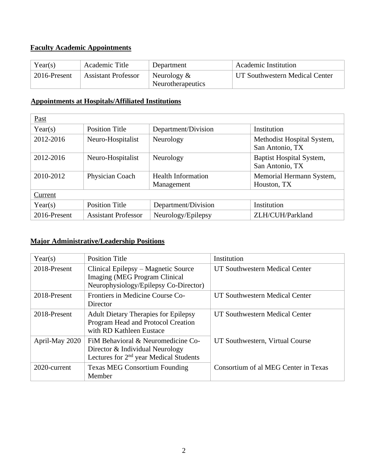# **Faculty Academic Appointments**

| Year(s)      | Academic Title             | Department                          | <b>Academic Institution</b>    |
|--------------|----------------------------|-------------------------------------|--------------------------------|
| 2016-Present | <b>Assistant Professor</b> | Neurology $\&$<br>Neurotherapeutics | UT Southwestern Medical Center |

### **Appointments at Hospitals/Affiliated Institutions**

| Past         |                            |                                         |                                               |
|--------------|----------------------------|-----------------------------------------|-----------------------------------------------|
| Year(s)      | <b>Position Title</b>      | Department/Division                     | Institution                                   |
| 2012-2016    | Neuro-Hospitalist          | Neurology                               | Methodist Hospital System,<br>San Antonio, TX |
| 2012-2016    | Neuro-Hospitalist          | Neurology                               | Baptist Hospital System,<br>San Antonio, TX   |
| 2010-2012    | Physician Coach            | <b>Health Information</b><br>Management | Memorial Hermann System,<br>Houston, TX       |
| Current      |                            |                                         |                                               |
| Year(s)      | <b>Position Title</b>      | Department/Division                     | Institution                                   |
| 2016-Present | <b>Assistant Professor</b> | Neurology/Epilepsy                      | ZLH/CUH/Parkland                              |

#### **Major Administrative/Leadership Positions**

| Year(s)        | <b>Position Title</b>                                                                                                       | Institution                          |
|----------------|-----------------------------------------------------------------------------------------------------------------------------|--------------------------------------|
| 2018-Present   | Clinical Epilepsy – Magnetic Source<br><b>Imaging (MEG Program Clinical</b><br>Neurophysiology/Epilepsy Co-Director)        | UT Southwestern Medical Center       |
| 2018-Present   | Frontiers in Medicine Course Co-<br>Director                                                                                | UT Southwestern Medical Center       |
| 2018-Present   | <b>Adult Dietary Therapies for Epilepsy</b><br>Program Head and Protocol Creation<br>with RD Kathleen Eustace               | UT Southwestern Medical Center       |
| April-May 2020 | FiM Behavioral & Neuromedicine Co-<br>Director & Individual Neurology<br>Lectures for 2 <sup>nd</sup> year Medical Students | UT Southwestern, Virtual Course      |
| 2020-current   | <b>Texas MEG Consortium Founding</b><br>Member                                                                              | Consortium of al MEG Center in Texas |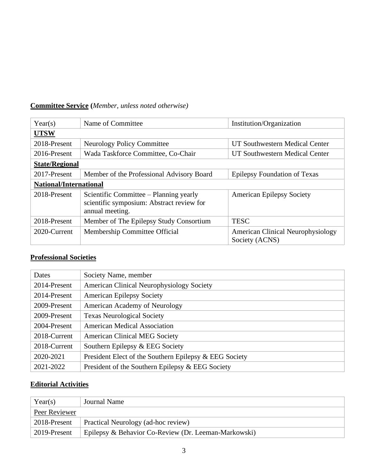# **Committee Service (***Member, unless noted otherwise)*

| Year(s)                       | Name of Committee<br>Institution/Organization                                                          |                                                            |  |
|-------------------------------|--------------------------------------------------------------------------------------------------------|------------------------------------------------------------|--|
| <b>UTSW</b>                   |                                                                                                        |                                                            |  |
| 2018-Present                  | <b>Neurology Policy Committee</b>                                                                      | UT Southwestern Medical Center                             |  |
| 2016-Present                  | Wada Taskforce Committee, Co-Chair                                                                     | UT Southwestern Medical Center                             |  |
| <b>State/Regional</b>         |                                                                                                        |                                                            |  |
| 2017-Present                  | Member of the Professional Advisory Board                                                              | <b>Epilepsy Foundation of Texas</b>                        |  |
| <b>National/International</b> |                                                                                                        |                                                            |  |
| 2018-Present                  | Scientific Committee – Planning yearly<br>scientific symposium: Abstract review for<br>annual meeting. | <b>American Epilepsy Society</b>                           |  |
| 2018-Present                  | Member of The Epilepsy Study Consortium                                                                | <b>TESC</b>                                                |  |
| 2020-Current                  | Membership Committee Official                                                                          | <b>American Clinical Neurophysiology</b><br>Society (ACNS) |  |

#### **Professional Societies**

| Dates        | Society Name, member                                   |
|--------------|--------------------------------------------------------|
| 2014-Present | <b>American Clinical Neurophysiology Society</b>       |
| 2014-Present | <b>American Epilepsy Society</b>                       |
| 2009-Present | American Academy of Neurology                          |
| 2009-Present | <b>Texas Neurological Society</b>                      |
| 2004-Present | <b>American Medical Association</b>                    |
| 2018-Current | <b>American Clinical MEG Society</b>                   |
| 2018-Current | Southern Epilepsy & EEG Society                        |
| 2020-2021    | President Elect of the Southern Epilepsy & EEG Society |
| 2021-2022    | President of the Southern Epilepsy & EEG Society       |

### **Editorial Activities**

| Year(s)       | Journal Name                                         |
|---------------|------------------------------------------------------|
| Peer Reviewer |                                                      |
| 2018-Present  | Practical Neurology (ad-hoc review)                  |
| 2019-Present  | Epilepsy & Behavior Co-Review (Dr. Leeman-Markowski) |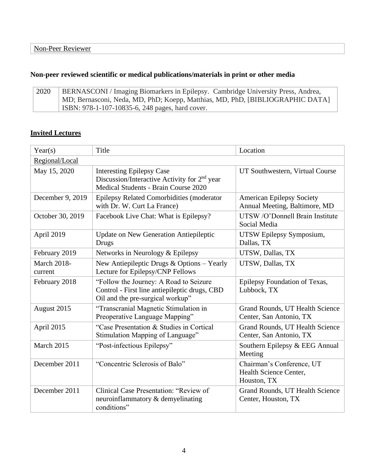# **Non-peer reviewed scientific or medical publications/materials in print or other media**

| 2020 | BERNASCONI / Imaging Biomarkers in Epilepsy. Cambridge University Press, Andrea, |
|------|----------------------------------------------------------------------------------|
|      | MD; Bernasconi, Neda, MD, PhD; Koepp, Matthias, MD, PhD, [BIBLIOGRAPHIC DATA]    |
|      | ISBN: 978-1-107-10835-6, 248 pages, hard cover.                                  |

### **Invited Lectures**

| Year(s)                       | Title                                                                                                                                | Location                                                           |
|-------------------------------|--------------------------------------------------------------------------------------------------------------------------------------|--------------------------------------------------------------------|
| Regional/Local                |                                                                                                                                      |                                                                    |
| May 15, 2020                  | <b>Interesting Epilepsy Case</b><br>Discussion/Interactive Activity for 2 <sup>nd</sup> year<br>Medical Students - Brain Course 2020 | UT Southwestern, Virtual Course                                    |
| December 9, 2019              | Epilepsy Related Comorbidities (moderator<br>with Dr. W. Curt La France)                                                             | <b>American Epilepsy Society</b><br>Annual Meeting, Baltimore, MD  |
| October 30, 2019              | Facebook Live Chat: What is Epilepsy?                                                                                                | UTSW /O'Donnell Brain Institute<br>Social Media                    |
| April 2019                    | <b>Update on New Generation Antiepileptic</b><br><b>Drugs</b>                                                                        | UTSW Epilepsy Symposium,<br>Dallas, TX                             |
| February 2019                 | Networks in Neurology & Epilepsy                                                                                                     | UTSW, Dallas, TX                                                   |
| <b>March 2018-</b><br>current | New Antiepileptic Drugs $&$ Options – Yearly<br>Lecture for Epilepsy/CNP Fellows                                                     | UTSW, Dallas, TX                                                   |
| February 2018                 | "Follow the Journey: A Road to Seizure<br>Control - First line antiepileptic drugs, CBD<br>Oil and the pre-surgical workup"          | Epilepsy Foundation of Texas,<br>Lubbock, TX                       |
| August 2015                   | "Transcranial Magnetic Stimulation in<br>Preoperative Language Mapping"                                                              | Grand Rounds, UT Health Science<br>Center, San Antonio, TX         |
| April 2015                    | "Case Presentation & Studies in Cortical<br>Stimulation Mapping of Language"                                                         | Grand Rounds, UT Health Science<br>Center, San Antonio, TX         |
| March 2015                    | "Post-infectious Epilepsy"                                                                                                           | Southern Epilepsy & EEG Annual<br>Meeting                          |
| December 2011                 | "Concentric Sclerosis of Balo"                                                                                                       | Chairman's Conference, UT<br>Health Science Center,<br>Houston, TX |
| December 2011                 | Clinical Case Presentation: "Review of<br>neuroinflammatory & demyelinating<br>conditions"                                           | Grand Rounds, UT Health Science<br>Center, Houston, TX             |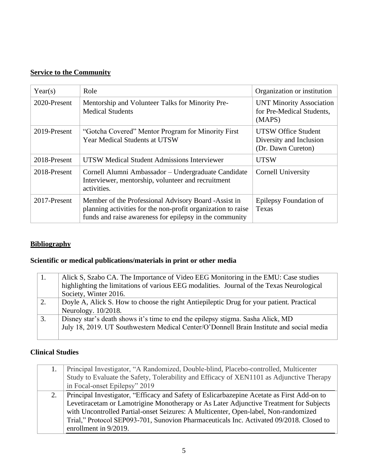### **Service to the Community**

| Year(s)      | Role                                                                                                                                                                            | Organization or institution                                                 |
|--------------|---------------------------------------------------------------------------------------------------------------------------------------------------------------------------------|-----------------------------------------------------------------------------|
| 2020-Present | Mentorship and Volunteer Talks for Minority Pre-<br><b>Medical Students</b>                                                                                                     | <b>UNT Minority Association</b><br>for Pre-Medical Students,<br>(MAPS)      |
| 2019-Present | "Gotcha Covered" Mentor Program for Minority First<br>Year Medical Students at UTSW                                                                                             | <b>UTSW Office Student</b><br>Diversity and Inclusion<br>(Dr. Dawn Cureton) |
| 2018-Present | UTSW Medical Student Admissions Interviewer                                                                                                                                     | <b>UTSW</b>                                                                 |
| 2018-Present | Cornell Alumni Ambassador – Undergraduate Candidate<br>Interviewer, mentorship, volunteer and recruitment<br>activities.                                                        | Cornell University                                                          |
| 2017-Present | Member of the Professional Advisory Board -Assist in<br>planning activities for the non-profit organization to raise<br>funds and raise awareness for epilepsy in the community | Epilepsy Foundation of<br>Texas                                             |

### **Bibliography**

# **Scientific or medical publications/materials in print or other media**

|    | Alick S, Szabo CA. The Importance of Video EEG Monitoring in the EMU: Case studies        |
|----|-------------------------------------------------------------------------------------------|
|    | highlighting the limitations of various EEG modalities. Journal of the Texas Neurological |
|    | Society, Winter 2016.                                                                     |
| 2. | Doyle A, Alick S. How to choose the right Antiepileptic Drug for your patient. Practical  |
|    | Neurology. 10/2018.                                                                       |
| 3. | Disney star's death shows it's time to end the epilepsy stigma. Sasha Alick, MD           |
|    | July 18, 2019. UT Southwestern Medical Center/O'Donnell Brain Institute and social media  |
|    |                                                                                           |

# **Clinical Studies**

| Principal Investigator, "A Randomized, Double-blind, Placebo-controlled, Multicenter<br>Study to Evaluate the Safety, Tolerability and Efficacy of XEN1101 as Adjunctive Therapy<br>in Focal-onset Epilepsy" 2019                                                                                                                                                                               |
|-------------------------------------------------------------------------------------------------------------------------------------------------------------------------------------------------------------------------------------------------------------------------------------------------------------------------------------------------------------------------------------------------|
| Principal Investigator, "Efficacy and Safety of Eslicarbazepine Acetate as First Add-on to<br>Levetiracetam or Lamotrigine Monotherapy or As Later Adjunctive Treatment for Subjects<br>with Uncontrolled Partial-onset Seizures: A Multicenter, Open-label, Non-randomized<br>Trial," Protocol SEP093-701, Sunovion Pharmaceuticals Inc. Activated 09/2018. Closed to<br>enrollment in 9/2019. |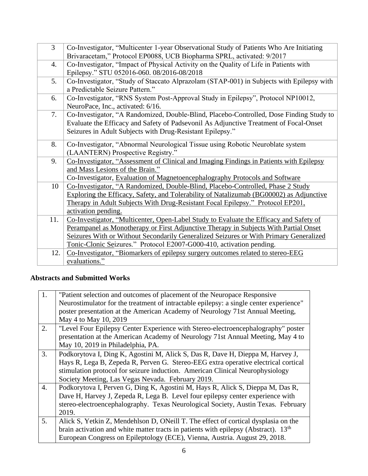| 3   | Co-Investigator, "Multicenter 1-year Observational Study of Patients Who Are Initiating  |
|-----|------------------------------------------------------------------------------------------|
|     | Brivaracetam," Protocol EP0088, UCB Biopharma SPRL, activated: 9/2017                    |
| 4.  | Co-Investigator, "Impact of Physical Activity on the Quality of Life in Patients with    |
|     | Epilepsy." STU 052016-060. 08/2016-08/2018                                               |
| 5.  | Co-Investigator, "Study of Staccato Alprazolam (STAP-001) in Subjects with Epilepsy with |
|     | a Predictable Seizure Pattern."                                                          |
| 6.  | Co-Investigator, "RNS System Post-Approval Study in Epilepsy", Protocol NP10012,         |
|     | NeuroPace, Inc., activated: 6/16.                                                        |
| 7.  | Co-Investigator, "A Randomized, Double-Blind, Placebo-Controlled, Dose Finding Study to  |
|     | Evaluate the Efficacy and Safety of Padsevonil As Adjunctive Treatment of Focal-Onset    |
|     | Seizures in Adult Subjects with Drug-Resistant Epilepsy."                                |
| 8.  | Co-Investigator, "Abnormal Neurological Tissue using Robotic Neuroblate system           |
|     | (LAANTERN) Prospective Registry."                                                        |
| 9.  | Co-Investigator, "Assessment of Clinical and Imaging Findings in Patients with Epilepsy  |
|     | and Mass Lesions of the Brain."                                                          |
|     | Co-Investigator, Evaluation of Magnetoencephalography Protocols and Software             |
| 10  | Co-Investigator, "A Randomized, Double-Blind, Placebo-Controlled, Phase 2 Study          |
|     | Exploring the Efficacy, Safety, and Tolerability of Natalizumab (BG00002) as Adjunctive  |
|     | Therapy in Adult Subjects With Drug-Resistant Focal Epilepsy." Protocol EP201,           |
|     | activation pending.                                                                      |
| 11. | Co-Investigator, "Multicenter, Open-Label Study to Evaluate the Efficacy and Safety of   |
|     | Perampanel as Monotherapy or First Adjunctive Therapy in Subjects With Partial Onset     |
|     | Seizures With or Without Secondarily Generalized Seizures or With Primary Generalized    |
|     | Tonic-Clonic Seizures." Protocol E2007-G000-410, activation pending.                     |
| 12. | Co-Investigator, "Biomarkers of epilepsy surgery outcomes related to stereo-EEG          |
|     | evaluations."                                                                            |

# **Abstracts and Submitted Works**

| 1.               | "Patient selection and outcomes of placement of the Neuropace Responsive                        |
|------------------|-------------------------------------------------------------------------------------------------|
|                  | Neurostimulator for the treatment of intractable epilepsy: a single center experience"          |
|                  | poster presentation at the American Academy of Neurology 71st Annual Meeting,                   |
|                  | May 4 to May 10, 2019                                                                           |
| 2.               | "Level Four Epilepsy Center Experience with Stereo-electroencephalography" poster               |
|                  | presentation at the American Academy of Neurology 71st Annual Meeting, May 4 to                 |
|                  | May 10, 2019 in Philadelphia, PA.                                                               |
| $\overline{3}$ . | Podkorytova I, Ding K, Agostini M, Alick S, Das R, Dave H, Dieppa M, Harvey J,                  |
|                  | Hays R, Lega B, Zepeda R, Perven G. Stereo-EEG extra operative electrical cortical              |
|                  | stimulation protocol for seizure induction. American Clinical Neurophysiology                   |
|                  | Society Meeting, Las Vegas Nevada. February 2019.                                               |
| $\overline{4}$ . | Podkorytova I, Perven G, Ding K, Agostini M, Hays R, Alick S, Dieppa M, Das R,                  |
|                  | Dave H, Harvey J, Zepeda R, Lega B. Level four epilepsy center experience with                  |
|                  | stereo-electroencephalography. Texas Neurological Society, Austin Texas. February               |
|                  | 2019.                                                                                           |
| 5.               | Alick S, Yetkin Z, Mendehlson D, ONeill T. The effect of cortical dysplasia on the              |
|                  | brain activation and white matter tracts in patients with epilepsy (Abstract). 13 <sup>th</sup> |
|                  | European Congress on Epileptology (ECE), Vienna, Austria. August 29, 2018.                      |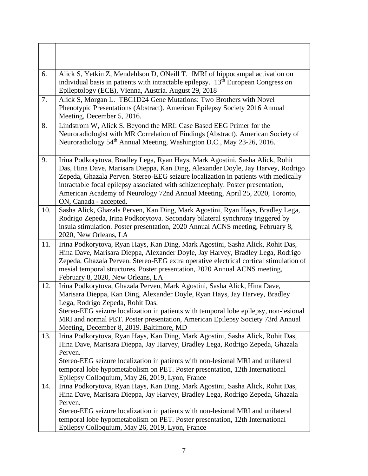| 6.  | Alick S, Yetkin Z, Mendehlson D, ONeill T. fMRI of hippocampal activation on<br>individual basis in patients with intractable epilepsy. $13th$ European Congress on<br>Epileptology (ECE), Vienna, Austria. August 29, 2018                                                                                                                                                                                                                        |
|-----|----------------------------------------------------------------------------------------------------------------------------------------------------------------------------------------------------------------------------------------------------------------------------------------------------------------------------------------------------------------------------------------------------------------------------------------------------|
| 7.  | Alick S, Morgan L. TBC1D24 Gene Mutations: Two Brothers with Novel<br>Phenotypic Presentations (Abstract). American Epilepsy Society 2016 Annual<br>Meeting, December 5, 2016.                                                                                                                                                                                                                                                                     |
| 8.  | Lindstrom W, Alick S. Beyond the MRI: Case Based EEG Primer for the<br>Neuroradiologist with MR Correlation of Findings (Abstract). American Society of<br>Neuroradiology 54 <sup>th</sup> Annual Meeting, Washington D.C., May 23-26, 2016.                                                                                                                                                                                                       |
| 9.  | Irina Podkorytova, Bradley Lega, Ryan Hays, Mark Agostini, Sasha Alick, Rohit<br>Das, Hina Dave, Marisara Dieppa, Kan Ding, Alexander Doyle, Jay Harvey, Rodrigo<br>Zepeda, Ghazala Perven. Stereo-EEG seizure localization in patients with medically<br>intractable focal epilepsy associated with schizencephaly. Poster presentation,<br>American Academy of Neurology 72nd Annual Meeting, April 25, 2020, Toronto,<br>ON, Canada - accepted. |
| 10. | Sasha Alick, Ghazala Perven, Kan Ding, Mark Agostini, Ryan Hays, Bradley Lega,<br>Rodrigo Zepeda, Irina Podkorytova. Secondary bilateral synchrony triggered by<br>insula stimulation. Poster presentation, 2020 Annual ACNS meeting, February 8,<br>2020, New Orleans, LA                                                                                                                                                                         |
| 11. | Irina Podkorytova, Ryan Hays, Kan Ding, Mark Agostini, Sasha Alick, Rohit Das,<br>Hina Dave, Marisara Dieppa, Alexander Doyle, Jay Harvey, Bradley Lega, Rodrigo<br>Zepeda, Ghazala Perven. Stereo-EEG extra operative electrical cortical stimulation of<br>mesial temporal structures. Poster presentation, 2020 Annual ACNS meeting,<br>February 8, 2020, New Orleans, LA                                                                       |
| 12. | Irina Podkorytova, Ghazala Perven, Mark Agostini, Sasha Alick, Hina Dave,<br>Marisara Dieppa, Kan Ding, Alexander Doyle, Ryan Hays, Jay Harvey, Bradley<br>Lega, Rodrigo Zepeda, Rohit Das.<br>Stereo-EEG seizure localization in patients with temporal lobe epilepsy, non-lesional<br>MRI and normal PET. Poster presentation, American Epilepsy Society 73rd Annual<br>Meeting, December 8, 2019. Baltimore, MD                                 |
| 13. | Irina Podkorytova, Ryan Hays, Kan Ding, Mark Agostini, Sasha Alick, Rohit Das,<br>Hina Dave, Marisara Dieppa, Jay Harvey, Bradley Lega, Rodrigo Zepeda, Ghazala<br>Perven.<br>Stereo-EEG seizure localization in patients with non-lesional MRI and unilateral<br>temporal lobe hypometabolism on PET. Poster presentation, 12th International<br>Epilepsy Colloquium, May 26, 2019, Lyon, France                                                  |
| 14. | Irina Podkorytova, Ryan Hays, Kan Ding, Mark Agostini, Sasha Alick, Rohit Das,<br>Hina Dave, Marisara Dieppa, Jay Harvey, Bradley Lega, Rodrigo Zepeda, Ghazala<br>Perven.<br>Stereo-EEG seizure localization in patients with non-lesional MRI and unilateral<br>temporal lobe hypometabolism on PET. Poster presentation, 12th International<br>Epilepsy Colloquium, May 26, 2019, Lyon, France                                                  |